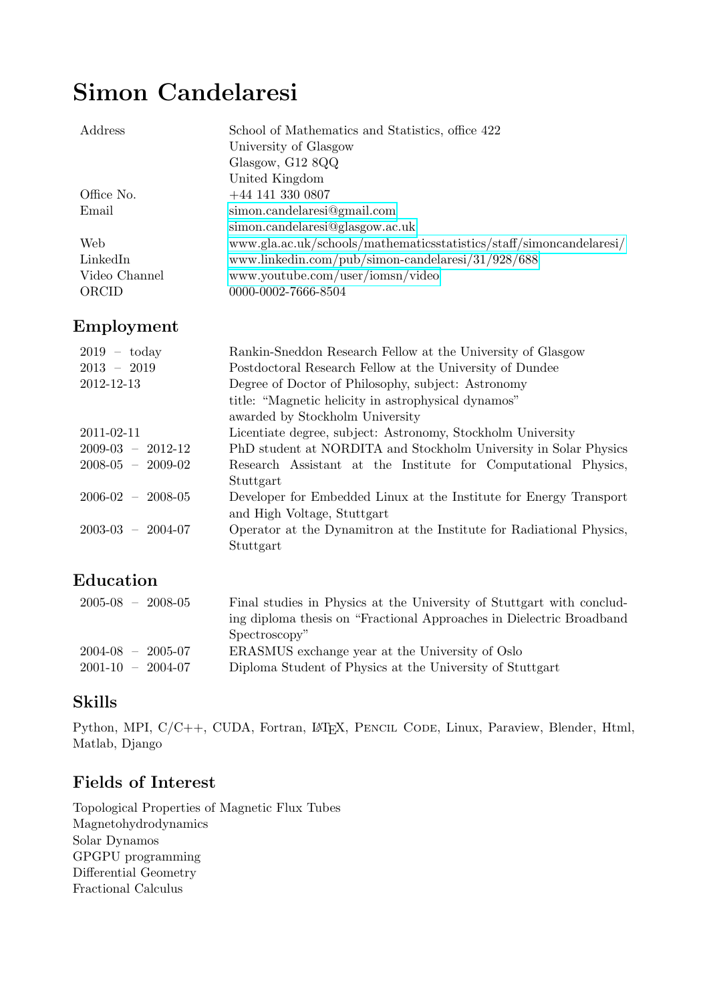# Simon Candelaresi

| School of Mathematics and Statistics, office 422                    |
|---------------------------------------------------------------------|
| University of Glasgow                                               |
| Glasgow, $G128QQ$                                                   |
| United Kingdom                                                      |
| $+44$ 141 330 0807                                                  |
| simon.candelaresi@gmail.com                                         |
| simon.candelaresi@glasgow.ac.uk                                     |
| www.gla.ac.uk/schools/mathematicsstatistics/staff/simoncandelaresi/ |
| www.linkedin.com/pub/simon-candelaresi/31/928/688                   |
| www.youtube.com/user/iomsn/video                                    |
| 0000-0002-7666-8504                                                 |
|                                                                     |

## Employment

| $2019 - \text{today}$ | Rankin-Sneddon Research Fellow at the University of Glasgow          |
|-----------------------|----------------------------------------------------------------------|
| $2013 - 2019$         | Postdoctoral Research Fellow at the University of Dundee             |
| 2012-12-13            | Degree of Doctor of Philosophy, subject: Astronomy                   |
|                       | title: "Magnetic helicity in astrophysical dynamos"                  |
|                       | awarded by Stockholm University                                      |
| 2011-02-11            | Licentiate degree, subject: Astronomy, Stockholm University          |
| $2009-03 - 2012-12$   | PhD student at NORDITA and Stockholm University in Solar Physics     |
| $2008-05 - 2009-02$   | Research Assistant at the Institute for Computational Physics,       |
|                       | Stuttgart                                                            |
| $2006-02 - 2008-05$   | Developer for Embedded Linux at the Institute for Energy Transport   |
|                       | and High Voltage, Stuttgart                                          |
| $2003-03 - 2004-07$   | Operator at the Dynamitron at the Institute for Radiational Physics, |
|                       | Stuttgart                                                            |

# Education

| $2005-08$ - $2008-05$   | Final studies in Physics at the University of Stuttgart with conclud-<br>ing diploma thesis on "Fractional Approaches in Dielectric Broadband"<br>Spectroscopy" |
|-------------------------|-----------------------------------------------------------------------------------------------------------------------------------------------------------------|
| $2004-08 - 2005-07$     | ERASMUS exchange year at the University of Oslo                                                                                                                 |
| $2001 - 10 - 2004 - 07$ | Diploma Student of Physics at the University of Stuttgart                                                                                                       |

# Skills

Python, MPI, C/C++, CUDA, Fortran, L<sup>AT</sup>EX, PENCIL CODE, Linux, Paraview, Blender, Html, Matlab, Django

# Fields of Interest

Topological Properties of Magnetic Flux Tubes Magnetohydrodynamics Solar Dynamos GPGPU programming Differential Geometry Fractional Calculus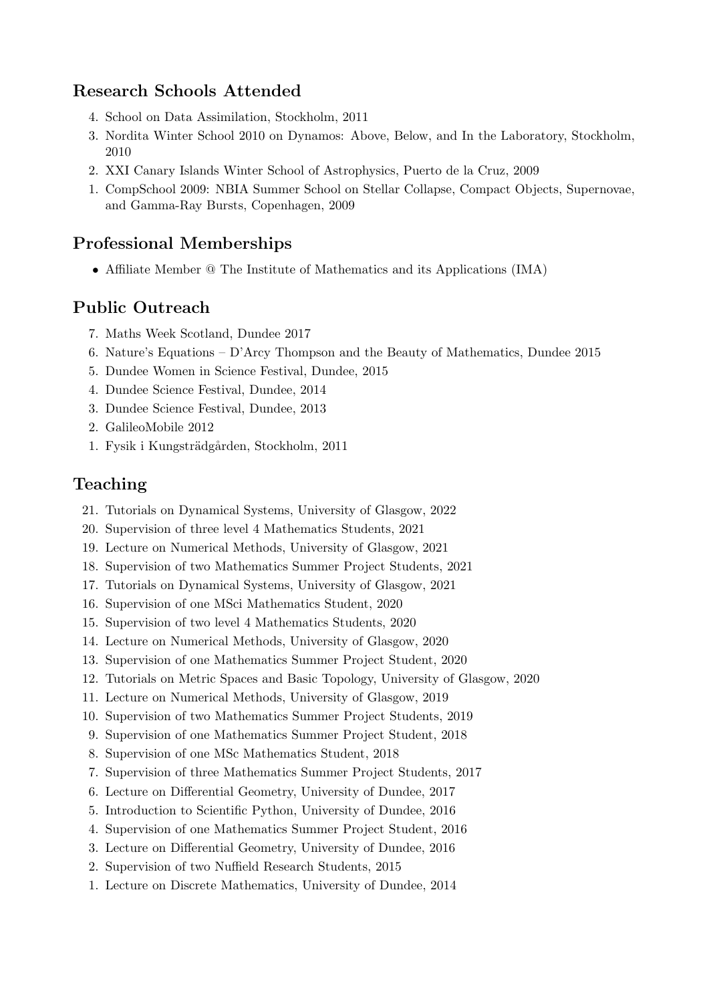## Research Schools Attended

- 4. School on Data Assimilation, Stockholm, 2011
- 3. Nordita Winter School 2010 on Dynamos: Above, Below, and In the Laboratory, Stockholm, 2010
- 2. XXI Canary Islands Winter School of Astrophysics, Puerto de la Cruz, 2009
- 1. CompSchool 2009: NBIA Summer School on Stellar Collapse, Compact Objects, Supernovae, and Gamma-Ray Bursts, Copenhagen, 2009

#### Professional Memberships

• Affiliate Member @ The Institute of Mathematics and its Applications (IMA)

#### Public Outreach

- 7. Maths Week Scotland, Dundee 2017
- 6. Nature's Equations D'Arcy Thompson and the Beauty of Mathematics, Dundee 2015
- 5. Dundee Women in Science Festival, Dundee, 2015
- 4. Dundee Science Festival, Dundee, 2014
- 3. Dundee Science Festival, Dundee, 2013
- 2. GalileoMobile 2012
- 1. Fysik i Kungsträdgården, Stockholm, 2011

#### Teaching

- 21. Tutorials on Dynamical Systems, University of Glasgow, 2022
- 20. Supervision of three level 4 Mathematics Students, 2021
- 19. Lecture on Numerical Methods, University of Glasgow, 2021
- 18. Supervision of two Mathematics Summer Project Students, 2021
- 17. Tutorials on Dynamical Systems, University of Glasgow, 2021
- 16. Supervision of one MSci Mathematics Student, 2020
- 15. Supervision of two level 4 Mathematics Students, 2020
- 14. Lecture on Numerical Methods, University of Glasgow, 2020
- 13. Supervision of one Mathematics Summer Project Student, 2020
- 12. Tutorials on Metric Spaces and Basic Topology, University of Glasgow, 2020
- 11. Lecture on Numerical Methods, University of Glasgow, 2019
- 10. Supervision of two Mathematics Summer Project Students, 2019
- 9. Supervision of one Mathematics Summer Project Student, 2018
- 8. Supervision of one MSc Mathematics Student, 2018
- 7. Supervision of three Mathematics Summer Project Students, 2017
- 6. Lecture on Differential Geometry, University of Dundee, 2017
- 5. Introduction to Scientific Python, University of Dundee, 2016
- 4. Supervision of one Mathematics Summer Project Student, 2016
- 3. Lecture on Differential Geometry, University of Dundee, 2016
- 2. Supervision of two Nuffield Research Students, 2015
- 1. Lecture on Discrete Mathematics, University of Dundee, 2014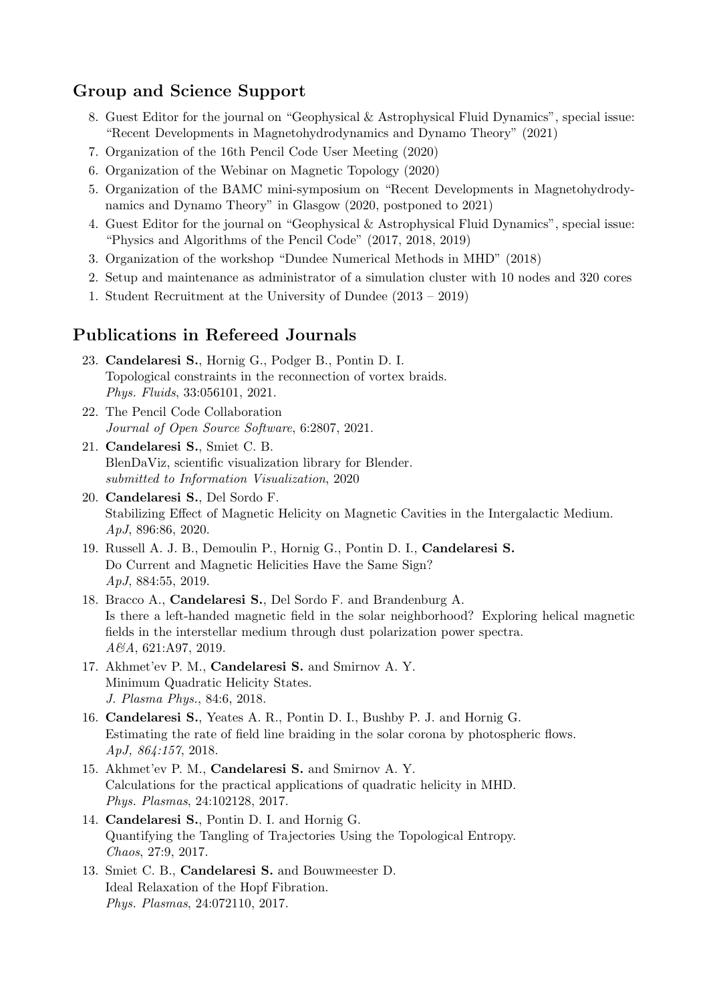## Group and Science Support

- 8. Guest Editor for the journal on "Geophysical & Astrophysical Fluid Dynamics", special issue: "Recent Developments in Magnetohydrodynamics and Dynamo Theory" (2021)
- 7. Organization of the 16th Pencil Code User Meeting (2020)
- 6. Organization of the Webinar on Magnetic Topology (2020)
- 5. Organization of the BAMC mini-symposium on "Recent Developments in Magnetohydrodynamics and Dynamo Theory" in Glasgow (2020, postponed to 2021)
- 4. Guest Editor for the journal on "Geophysical & Astrophysical Fluid Dynamics", special issue: "Physics and Algorithms of the Pencil Code" (2017, 2018, 2019)
- 3. Organization of the workshop "Dundee Numerical Methods in MHD" (2018)
- 2. Setup and maintenance as administrator of a simulation cluster with 10 nodes and 320 cores
- 1. Student Recruitment at the University of Dundee (2013 2019)

## Publications in Refereed Journals

- 23. Candelaresi S., Hornig G., Podger B., Pontin D. I. Topological constraints in the reconnection of vortex braids. Phys. Fluids, 33:056101, 2021.
- 22. The Pencil Code Collaboration Journal of Open Source Software, 6:2807, 2021.
- 21. Candelaresi S., Smiet C. B. BlenDaViz, scientific visualization library for Blender. submitted to Information Visualization, 2020
- 20. Candelaresi S., Del Sordo F. Stabilizing Effect of Magnetic Helicity on Magnetic Cavities in the Intergalactic Medium. ApJ, 896:86, 2020.
- 19. Russell A. J. B., Demoulin P., Hornig G., Pontin D. I., Candelaresi S. Do Current and Magnetic Helicities Have the Same Sign? ApJ, 884:55, 2019.
- 18. Bracco A., Candelaresi S., Del Sordo F. and Brandenburg A. Is there a left-handed magnetic field in the solar neighborhood? Exploring helical magnetic fields in the interstellar medium through dust polarization power spectra. A&A, 621:A97, 2019.
- 17. Akhmet'ev P. M., Candelaresi S. and Smirnov A. Y. Minimum Quadratic Helicity States. J. Plasma Phys., 84:6, 2018.
- 16. Candelaresi S., Yeates A. R., Pontin D. I., Bushby P. J. and Hornig G. Estimating the rate of field line braiding in the solar corona by photospheric flows. ApJ, 864:157, 2018.
- 15. Akhmet'ev P. M., Candelaresi S. and Smirnov A. Y. Calculations for the practical applications of quadratic helicity in MHD. Phys. Plasmas, 24:102128, 2017.
- 14. Candelaresi S., Pontin D. I. and Hornig G. Quantifying the Tangling of Trajectories Using the Topological Entropy. Chaos, 27:9, 2017.
- 13. Smiet C. B., Candelaresi S. and Bouwmeester D. Ideal Relaxation of the Hopf Fibration. Phys. Plasmas, 24:072110, 2017.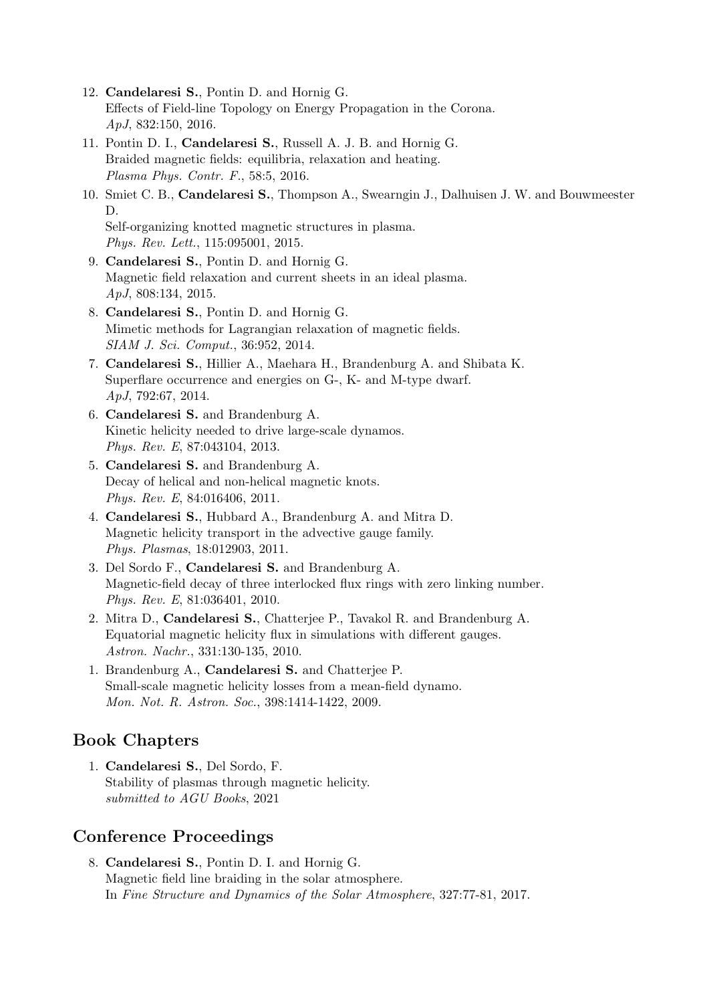- 12. Candelaresi S., Pontin D. and Hornig G. Effects of Field-line Topology on Energy Propagation in the Corona. ApJ, 832:150, 2016.
- 11. Pontin D. I., Candelaresi S., Russell A. J. B. and Hornig G. Braided magnetic fields: equilibria, relaxation and heating. Plasma Phys. Contr. F., 58:5, 2016.
- 10. Smiet C. B., Candelaresi S., Thompson A., Swearngin J., Dalhuisen J. W. and Bouwmeester D.

Self-organizing knotted magnetic structures in plasma. Phys. Rev. Lett., 115:095001, 2015.

- 9. Candelaresi S., Pontin D. and Hornig G. Magnetic field relaxation and current sheets in an ideal plasma. ApJ, 808:134, 2015.
- 8. Candelaresi S., Pontin D. and Hornig G. Mimetic methods for Lagrangian relaxation of magnetic fields. SIAM J. Sci. Comput., 36:952, 2014.
- 7. Candelaresi S., Hillier A., Maehara H., Brandenburg A. and Shibata K. Superflare occurrence and energies on G-, K- and M-type dwarf. ApJ, 792:67, 2014.
- 6. Candelaresi S. and Brandenburg A. Kinetic helicity needed to drive large-scale dynamos. Phys. Rev. E, 87:043104, 2013.
- 5. Candelaresi S. and Brandenburg A. Decay of helical and non-helical magnetic knots. Phys. Rev. E, 84:016406, 2011.
- 4. Candelaresi S., Hubbard A., Brandenburg A. and Mitra D. Magnetic helicity transport in the advective gauge family. Phys. Plasmas, 18:012903, 2011.
- 3. Del Sordo F., Candelaresi S. and Brandenburg A. Magnetic-field decay of three interlocked flux rings with zero linking number. Phys. Rev. E, 81:036401, 2010.
- 2. Mitra D., Candelaresi S., Chatterjee P., Tavakol R. and Brandenburg A. Equatorial magnetic helicity flux in simulations with different gauges. Astron. Nachr., 331:130-135, 2010.
- 1. Brandenburg A., Candelaresi S. and Chatterjee P. Small-scale magnetic helicity losses from a mean-field dynamo. Mon. Not. R. Astron. Soc., 398:1414-1422, 2009.

## Book Chapters

1. Candelaresi S., Del Sordo, F. Stability of plasmas through magnetic helicity. submitted to AGU Books, 2021

# Conference Proceedings

8. Candelaresi S., Pontin D. I. and Hornig G. Magnetic field line braiding in the solar atmosphere. In Fine Structure and Dynamics of the Solar Atmosphere, 327:77-81, 2017.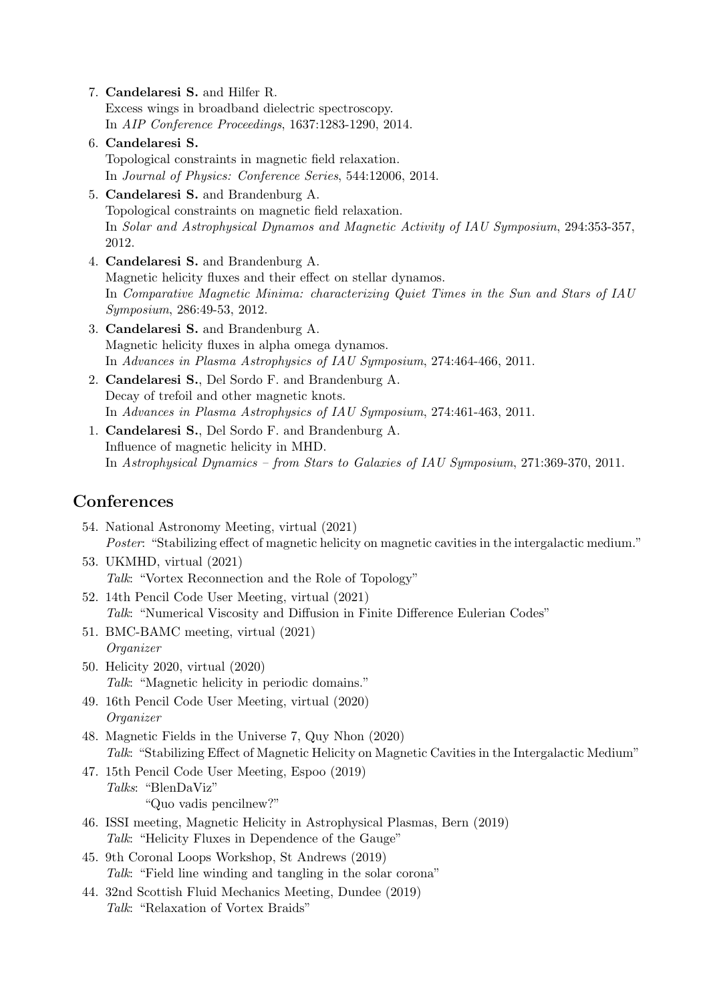- 7. Candelaresi S. and Hilfer R. Excess wings in broadband dielectric spectroscopy. In AIP Conference Proceedings, 1637:1283-1290, 2014.
- 6. Candelaresi S. Topological constraints in magnetic field relaxation. In Journal of Physics: Conference Series, 544:12006, 2014.
- 5. Candelaresi S. and Brandenburg A. Topological constraints on magnetic field relaxation. In Solar and Astrophysical Dynamos and Magnetic Activity of IAU Symposium, 294:353-357, 2012.
- 4. Candelaresi S. and Brandenburg A. Magnetic helicity fluxes and their effect on stellar dynamos. In Comparative Magnetic Minima: characterizing Quiet Times in the Sun and Stars of IAU Symposium, 286:49-53, 2012.
- 3. Candelaresi S. and Brandenburg A. Magnetic helicity fluxes in alpha omega dynamos. In Advances in Plasma Astrophysics of IAU Symposium, 274:464-466, 2011.
- 2. Candelaresi S., Del Sordo F. and Brandenburg A. Decay of trefoil and other magnetic knots. In Advances in Plasma Astrophysics of IAU Symposium, 274:461-463, 2011.
- 1. Candelaresi S., Del Sordo F. and Brandenburg A. Influence of magnetic helicity in MHD. In Astrophysical Dynamics – from Stars to Galaxies of IAU Symposium, 271:369-370, 2011.

## **Conferences**

54. National Astronomy Meeting, virtual (2021) Poster: "Stabilizing effect of magnetic helicity on magnetic cavities in the intergalactic medium." 53. UKMHD, virtual (2021) Talk: "Vortex Reconnection and the Role of Topology" 52. 14th Pencil Code User Meeting, virtual (2021) Talk: "Numerical Viscosity and Diffusion in Finite Difference Eulerian Codes" 51. BMC-BAMC meeting, virtual (2021) Organizer 50. Helicity 2020, virtual (2020) Talk: "Magnetic helicity in periodic domains." 49. 16th Pencil Code User Meeting, virtual (2020) Organizer 48. Magnetic Fields in the Universe 7, Quy Nhon (2020) Talk: "Stabilizing Effect of Magnetic Helicity on Magnetic Cavities in the Intergalactic Medium" 47. 15th Pencil Code User Meeting, Espoo (2019) Talks: "BlenDaViz" "Quo vadis pencilnew?" 46. ISSI meeting, Magnetic Helicity in Astrophysical Plasmas, Bern (2019) Talk: "Helicity Fluxes in Dependence of the Gauge" 45. 9th Coronal Loops Workshop, St Andrews (2019) Talk: "Field line winding and tangling in the solar corona" 44. 32nd Scottish Fluid Mechanics Meeting, Dundee (2019) Talk: "Relaxation of Vortex Braids"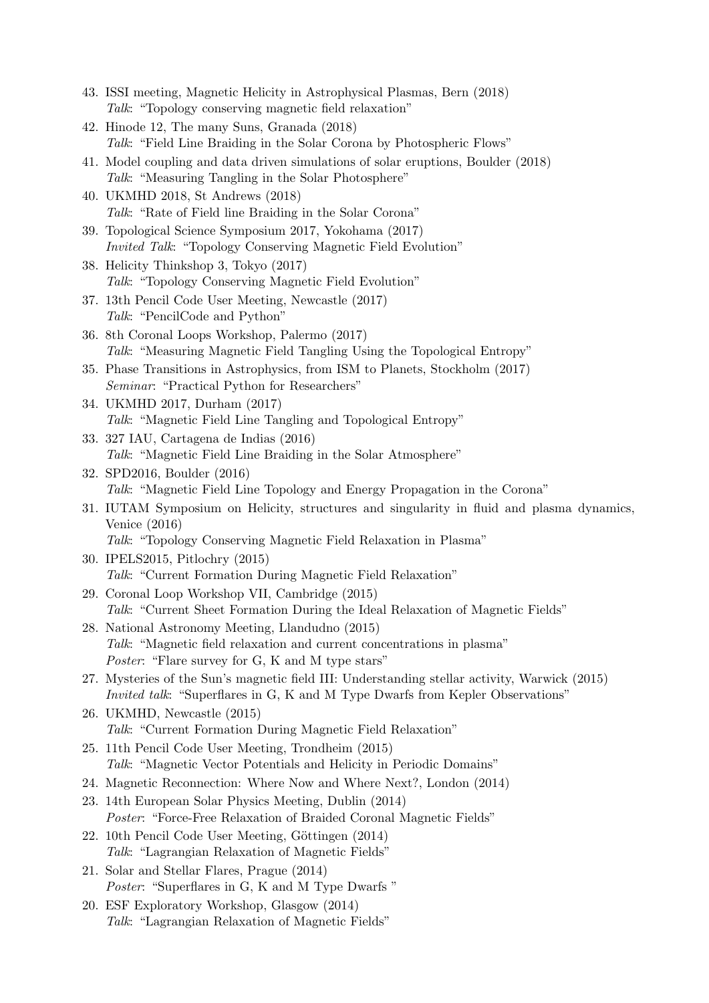- 43. ISSI meeting, Magnetic Helicity in Astrophysical Plasmas, Bern (2018) Talk: "Topology conserving magnetic field relaxation"
- 42. Hinode 12, The many Suns, Granada (2018) Talk: "Field Line Braiding in the Solar Corona by Photospheric Flows"
- 41. Model coupling and data driven simulations of solar eruptions, Boulder (2018) Talk: "Measuring Tangling in the Solar Photosphere"
- 40. UKMHD 2018, St Andrews (2018) Talk: "Rate of Field line Braiding in the Solar Corona"
- 39. Topological Science Symposium 2017, Yokohama (2017) Invited Talk: "Topology Conserving Magnetic Field Evolution"
- 38. Helicity Thinkshop 3, Tokyo (2017) Talk: "Topology Conserving Magnetic Field Evolution"
- 37. 13th Pencil Code User Meeting, Newcastle (2017) Talk: "PencilCode and Python"
- 36. 8th Coronal Loops Workshop, Palermo (2017) Talk: "Measuring Magnetic Field Tangling Using the Topological Entropy"
- 35. Phase Transitions in Astrophysics, from ISM to Planets, Stockholm (2017) Seminar: "Practical Python for Researchers"
- 34. UKMHD 2017, Durham (2017) Talk: "Magnetic Field Line Tangling and Topological Entropy"
- 33. 327 IAU, Cartagena de Indias (2016) Talk: "Magnetic Field Line Braiding in the Solar Atmosphere"
- 32. SPD2016, Boulder (2016) Talk: "Magnetic Field Line Topology and Energy Propagation in the Corona"
- 31. IUTAM Symposium on Helicity, structures and singularity in fluid and plasma dynamics, Venice (2016)

Talk: "Topology Conserving Magnetic Field Relaxation in Plasma"

- 30. IPELS2015, Pitlochry (2015) Talk: "Current Formation During Magnetic Field Relaxation"
- 29. Coronal Loop Workshop VII, Cambridge (2015) Talk: "Current Sheet Formation During the Ideal Relaxation of Magnetic Fields"
- 28. National Astronomy Meeting, Llandudno (2015) Talk: "Magnetic field relaxation and current concentrations in plasma" Poster: "Flare survey for G, K and M type stars"
- 27. Mysteries of the Sun's magnetic field III: Understanding stellar activity, Warwick (2015) Invited talk: "Superflares in G, K and M Type Dwarfs from Kepler Observations"
- 26. UKMHD, Newcastle (2015) Talk: "Current Formation During Magnetic Field Relaxation"
- 25. 11th Pencil Code User Meeting, Trondheim (2015) Talk: "Magnetic Vector Potentials and Helicity in Periodic Domains"
- 24. Magnetic Reconnection: Where Now and Where Next?, London (2014)
- 23. 14th European Solar Physics Meeting, Dublin (2014) Poster: "Force-Free Relaxation of Braided Coronal Magnetic Fields"
- 22. 10th Pencil Code User Meeting, Göttingen (2014) Talk: "Lagrangian Relaxation of Magnetic Fields"
- 21. Solar and Stellar Flares, Prague (2014) Poster: "Superflares in G, K and M Type Dwarfs"
- 20. ESF Exploratory Workshop, Glasgow (2014) Talk: "Lagrangian Relaxation of Magnetic Fields"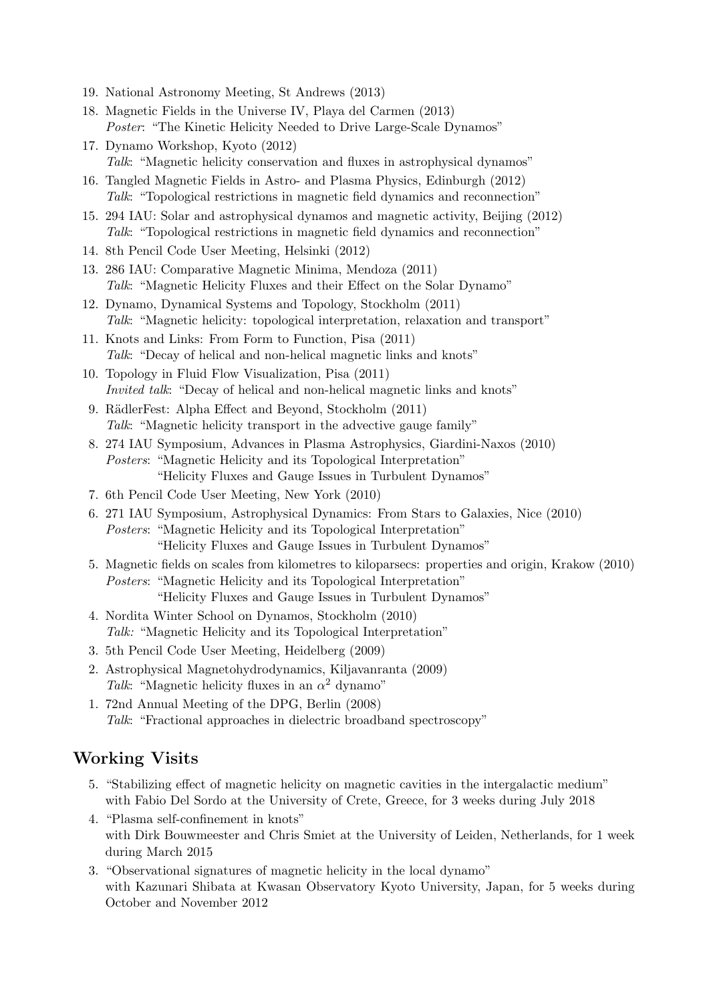- 19. National Astronomy Meeting, St Andrews (2013)
- 18. Magnetic Fields in the Universe IV, Playa del Carmen (2013) Poster: "The Kinetic Helicity Needed to Drive Large-Scale Dynamos"
- 17. Dynamo Workshop, Kyoto (2012) Talk: "Magnetic helicity conservation and fluxes in astrophysical dynamos"
- 16. Tangled Magnetic Fields in Astro- and Plasma Physics, Edinburgh (2012) Talk: "Topological restrictions in magnetic field dynamics and reconnection"
- 15. 294 IAU: Solar and astrophysical dynamos and magnetic activity, Beijing (2012) Talk: "Topological restrictions in magnetic field dynamics and reconnection"
- 14. 8th Pencil Code User Meeting, Helsinki (2012)
- 13. 286 IAU: Comparative Magnetic Minima, Mendoza (2011) Talk: "Magnetic Helicity Fluxes and their Effect on the Solar Dynamo"
- 12. Dynamo, Dynamical Systems and Topology, Stockholm (2011) Talk: "Magnetic helicity: topological interpretation, relaxation and transport"
- 11. Knots and Links: From Form to Function, Pisa (2011) Talk: "Decay of helical and non-helical magnetic links and knots"
- 10. Topology in Fluid Flow Visualization, Pisa (2011) Invited talk: "Decay of helical and non-helical magnetic links and knots"
- 9. R¨adlerFest: Alpha Effect and Beyond, Stockholm (2011) Talk: "Magnetic helicity transport in the advective gauge family"
- 8. 274 IAU Symposium, Advances in Plasma Astrophysics, Giardini-Naxos (2010) Posters: "Magnetic Helicity and its Topological Interpretation" "Helicity Fluxes and Gauge Issues in Turbulent Dynamos"
- 7. 6th Pencil Code User Meeting, New York (2010)
- 6. 271 IAU Symposium, Astrophysical Dynamics: From Stars to Galaxies, Nice (2010) Posters: "Magnetic Helicity and its Topological Interpretation" "Helicity Fluxes and Gauge Issues in Turbulent Dynamos"
- 5. Magnetic fields on scales from kilometres to kiloparsecs: properties and origin, Krakow (2010) Posters: "Magnetic Helicity and its Topological Interpretation" "Helicity Fluxes and Gauge Issues in Turbulent Dynamos"
- 4. Nordita Winter School on Dynamos, Stockholm (2010) Talk: "Magnetic Helicity and its Topological Interpretation"
- 3. 5th Pencil Code User Meeting, Heidelberg (2009)
- 2. Astrophysical Magnetohydrodynamics, Kiljavanranta (2009) Talk: "Magnetic helicity fluxes in an  $\alpha^2$  dynamo"
- 1. 72nd Annual Meeting of the DPG, Berlin (2008) Talk: "Fractional approaches in dielectric broadband spectroscopy"

## Working Visits

- 5. "Stabilizing effect of magnetic helicity on magnetic cavities in the intergalactic medium" with Fabio Del Sordo at the University of Crete, Greece, for 3 weeks during July 2018
- 4. "Plasma self-confinement in knots" with Dirk Bouwmeester and Chris Smiet at the University of Leiden, Netherlands, for 1 week during March 2015
- 3. "Observational signatures of magnetic helicity in the local dynamo" with Kazunari Shibata at Kwasan Observatory Kyoto University, Japan, for 5 weeks during October and November 2012